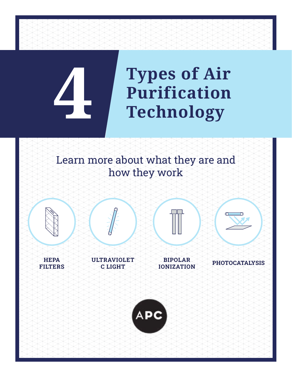# **Types of Air Purification Technology**

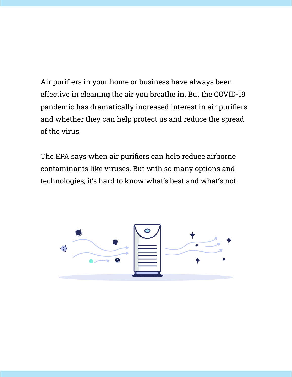Air purifiers in your home or business have always been effective in cleaning the air you breathe in. But the COVID-19 pandemic has dramatically increased interest in air purifiers and whether they can help protect us and reduce the spread of the virus.

The EPA says when air purifiers can help reduce airborne contaminants like viruses. But with so many options and technologies, it's hard to know what's best and what's not.

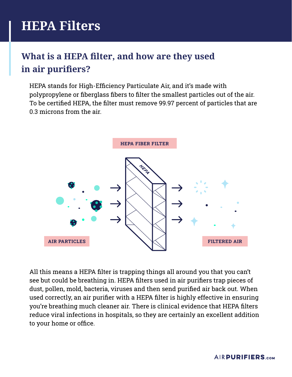# **HEPA Filters**

#### **What is a HEPA filter, and how are they used in air purifiers?**

HEPA stands for High-Efficiency Particulate Air, and it's made with polypropylene or fiberglass fibers to filter the smallest particles out of the air. To be certified HEPA, the filter must remove 99.97 percent of particles that are 0.3 microns from the air.



All this means a HEPA filter is trapping things all around you that you can't see but could be breathing in. HEPA filters used in air purifiers trap pieces of dust, pollen, mold, bacteria, viruses and then send purified air back out. When used correctly, an air purifier with a HEPA filter is highly effective in ensuring you're breathing much cleaner air. There is clinical evidence that HEPA filters reduce viral infections in hospitals, so they are certainly an excellent addition to your home or office.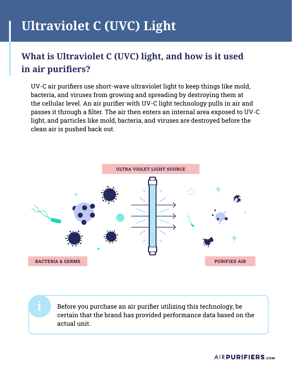# **Ultraviolet C (UVC) Light**

#### **What is Ultraviolet C (UVC) light, and how is it used in air purifiers?**

UV-C air purifiers use short-wave ultraviolet light to keep things like mold, bacteria, and viruses from growing and spreading by destroying them at the cellular level. An air purifier with UV-C light technology pulls in air and passes it through a filter. The air then enters an internal area exposed to UV-C light, and particles like mold, bacteria, and viruses are destroyed before the clean air is pushed back out.



Before you purchase an air purifier utilizing this technology, be certain that the brand has provided performance data based on the actual unit.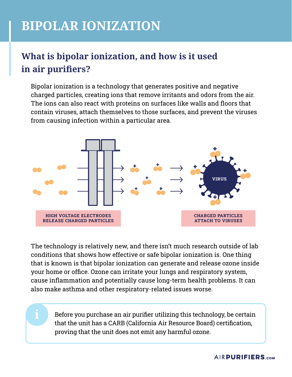# **BIPOLAR IONIZATION**

#### **What is bipolar ionization, and how is it used in air purifiers?**

Bipolar ionization is a technology that generates positive and negative charged particles, creating ions that remove irritants and odors from the air. The ions can also react with proteins on surfaces like walls and floors that contain viruses, attach themselves to those surfaces, and prevent the viruses from causing infection within a particular area.



The technology is relatively new, and there isn't much research outside of lab conditions that shows how effective or safe bipolar ionization is. One thing that is known is that bipolar ionization can generate and release ozone inside your home or office. Ozone can irritate your lungs and respiratory system, cause inflammation and potentially cause long-term health problems. It can also make asthma and other respiratory-related issues worse.

> Before you purchase an air purifier utilizing this technology, be certain that the unit has a CARB (California Air Resource Board) certification, proving that the unit does not emit any harmful ozone.